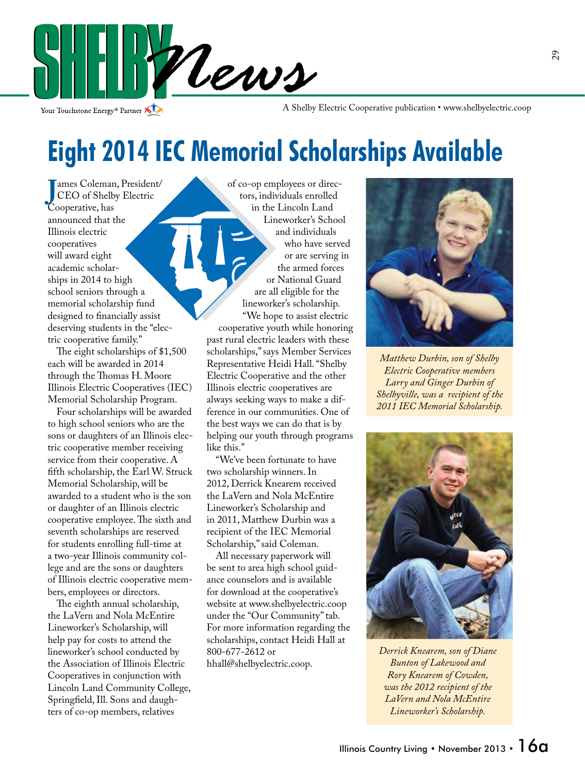

Your Touchstone Energy<sup>®</sup> Partner

A Shelby Electric Cooperative publication • www.shelbyelectric.coop

## **Eight 2014 IEC Memorial Scholarships Available**

**J**<br>CEO of Shelb<br>Cooperative, has ames Coleman, President/ CEO of Shelby Electric announced that the Illinois electric cooperatives will award eight academic scholarships in 2014 to high school seniors through a memorial scholarship fund designed to financially assist deserving students in the "electric cooperative family."

 The eight scholarships of \$1,500 each will be awarded in 2014 through the Thomas H. Moore Illinois Electric Cooperatives (IEC) Memorial Scholarship Program.

 Four scholarships will be awarded to high school seniors who are the sons or daughters of an Illinois electric cooperative member receiving service from their cooperative. A fifth scholarship, the Earl W. Struck Memorial Scholarship, will be awarded to a student who is the son or daughter of an Illinois electric cooperative employee. The sixth and seventh scholarships are reserved for students enrolling full-time at a two-year Illinois community college and are the sons or daughters of Illinois electric cooperative members, employees or directors.

 The eighth annual scholarship, the LaVern and Nola McEntire Lineworker's Scholarship, will help pay for costs to attend the lineworker's school conducted by the Association of Illinois Electric Cooperatives in conjunction with Lincoln Land Community College, Springfield, Ill. Sons and daughters of co-op members, relatives

of co-op employees or directors, individuals enrolled in the Lincoln Land Lineworker's School and individuals who have served or are serving in the armed forces or National Guard are all eligible for the lineworker's scholarship. "We hope to assist electric cooperative youth while honoring past rural electric leaders with these scholarships," says Member Services Representative Heidi Hall. "Shelby Electric Cooperative and the other Illinois electric cooperatives are always seeking ways to make a difference in our communities. One of the best ways we can do that is by helping our youth through programs like this."

 "We've been fortunate to have two scholarship winners. In 2012, Derrick Knearem received the LaVern and Nola McEntire Lineworker's Scholarship and in 2011, Matthew Durbin was a recipient of the IEC Memorial Scholarship," said Coleman.

 All necessary paperwork will be sent to area high school guidance counselors and is available for download at the cooperative's website at www.shelbyelectric.coop under the "Our Community" tab. For more information regarding the scholarships, contact Heidi Hall at 800-677-2612 or hhall@shelbyelectric.coop.



*Matthew Durbin, son of Shelby Electric Cooperative members Larry and Ginger Durbin of Shelbyville, was a recipient of the 2011 IEC Memorial Scholarship.* 



*Derrick Knearem, son of Diane Bunton of Lakewood and Rory Knearem of Cowden, was the 2012 recipient of the LaVern and Nola McEntire Lineworker's Scholarship.*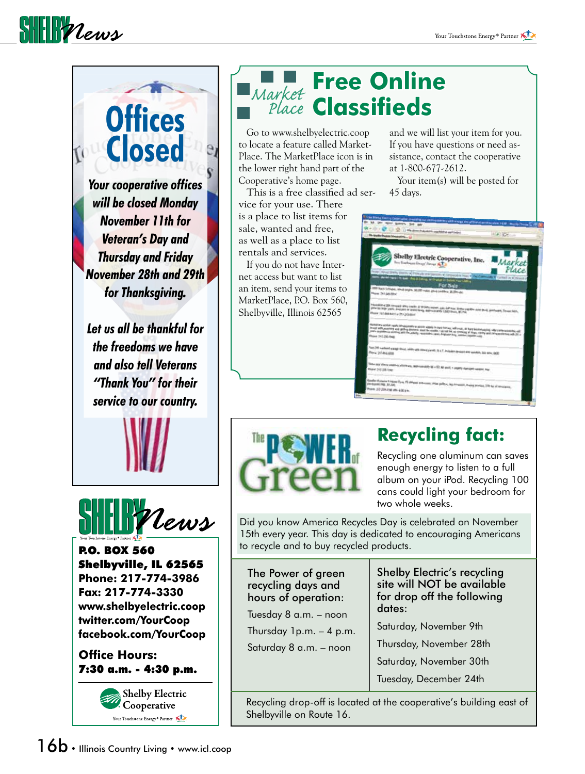#### $\frac{1}{2}$

## **Offices Closed**

*Your cooperative offices will be closed Monday November 11th for Veteran's Day and Thursday and Friday November 28th and 29th for Thanksgiving.*

*Let us all be thankful for the freedoms we have and also tell Veterans "Thank You" for their service to our country.*





P.O. BOX 560 Shelbyville, IL 62565 **Phone: 217-774-3986 Fax: 217-774-3330 www.shelbyelectric.coop twitter.com/YourCoop facebook.com/YourCoop**

#### **Office Hours:** 7:30 a.m. - 4:30 p.m.



#### **Free Online Market Free Ommin**

 Go to www.shelbyelectric.coop to locate a feature called Market-Place. The MarketPlace icon is in the lower right hand part of the Cooperative's home page.

 This is a free classified ad service for your use. There is a place to list items for sale, wanted and free, as well as a place to list rentals and services.

 If you do not have Internet access but want to list an item, send your items to MarketPlace, P.O. Box 560, Shelbyville, Illinois 62565

and we will list your item for you. If you have questions or need assistance, contact the cooperative at 1-800-677-2612.

Your item(s) will be posted for 45 days.

| 1) The Shelly Tworn, Corporation, presiding and consequences with energy and affires of acceptions 2020. Among Terrents, CC                                                                                                                                                                                                                                                                            |  |
|--------------------------------------------------------------------------------------------------------------------------------------------------------------------------------------------------------------------------------------------------------------------------------------------------------------------------------------------------------------------------------------------------------|--|
| 1 x Q2 (1) Q2 (1) the direct industries explained and orders                                                                                                                                                                                                                                                                                                                                           |  |
| The Delhy States Exceptions & Li                                                                                                                                                                                                                                                                                                                                                                       |  |
|                                                                                                                                                                                                                                                                                                                                                                                                        |  |
| Shelby Electric Cooperative, Inc.<br>Market<br>for Eachten Energy Terrar & Lib<br>Place<br>rene (stock time) (more reference as personal computer time) (but assembly a factor of more to                                                                                                                                                                                                              |  |
| <b>C. Market Prince: For New Aire &amp; Looking, Nr. Changet in Division Four Litering</b><br>For Sale<br>the back LeSabe, return segme. NUSS make, good condition. W. (20) and<br>Phone 242-545-5816                                                                                                                                                                                                  |  |
| threating 200 comput altra rocks. If thistly move, gas, but the, trade you the new greek year pain, Sound both<br>great for large-years, precioses or destroleping, depressionally 2,000 forest, \$1,750<br><b>Hune Johnsam urbst product</b>                                                                                                                                                          |  |
| Momentary worker could a desphayment for about a labely in liber former, well-your, do high foundamping, offer companionating vall<br>accord with generating and getting distantal, must be routific ( do not let, no creating of dags, rating and nonsponsorate with 20 a<br>yours experience venting with the atticity, resonance start, Mallwise selly, Antonio requires near<br>Phone 312-206-1988 |  |
| Top DVI seriest gauge store, wide with reset parely, D.LT, includes graines and enrotes, his sex, BED                                                                                                                                                                                                                                                                                                  |  |
| These most shorts weapons who wents, beginnings up at \$1. \$6 seem, I coupling distinguit researc, line<br>Phone 2012/8-1081                                                                                                                                                                                                                                                                          |  |
| Douban Entertain & Homes Dyne, 79 offerent projections, although between the elements, moving provides, 200 for all constructions,                                                                                                                                                                                                                                                                     |  |
| Phone: 201204-2766 White 4:00 p.m.                                                                                                                                                                                                                                                                                                                                                                     |  |
|                                                                                                                                                                                                                                                                                                                                                                                                        |  |



#### **Recycling fact:**

Recycling one aluminum can saves enough energy to listen to a full album on your iPod. Recycling 100 cans could light your bedroom for two whole weeks.

Did you know America Recycles Day is celebrated on November 15th every year. This day is dedicated to encouraging Americans to recycle and to buy recycled products.

The Power of green recycling days and hours of operation: Tuesday 8 a.m. – noon Thursday  $1p.m. - 4 p.m.$ Saturday 8 a.m. – noon

Shelby Electric's recycling site will NOT be available for drop off the following dates:

Saturday, November 9th

Thursday, November 28th

Saturday, November 30th

Tuesday, December 24th

Recycling drop-off is located at the cooperative's building east of Shelbyville on Route 16.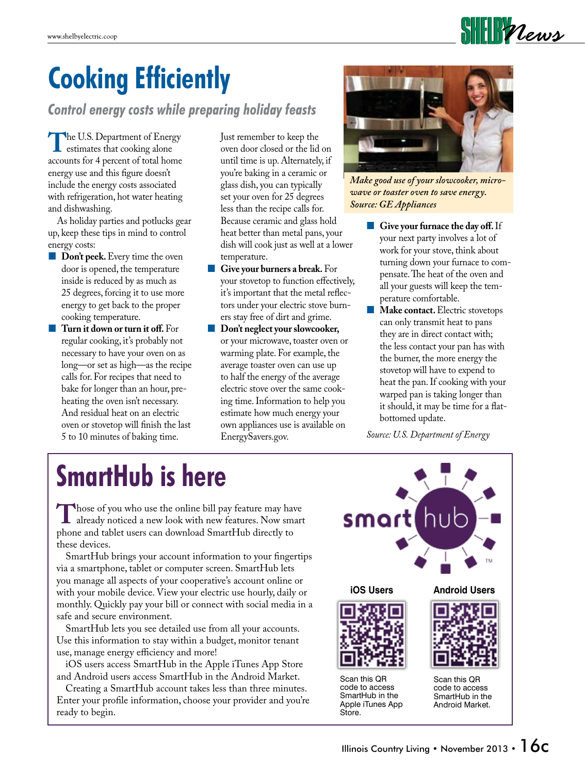

# **Cooking Efficiently**

*Control energy costs while preparing holiday feasts*

**The U.S. Department of Energy<br>estimates that cooking alone**<br>accounts for 4 percent of total home accounts for 4 percent of total home energy use and this figure doesn't include the energy costs associated with refrigeration, hot water heating and dishwashing.

 As holiday parties and potlucks gear up, keep these tips in mind to control energy costs:

- **Don't peek.** Every time the oven door is opened, the temperature inside is reduced by as much as 25 degrees, forcing it to use more energy to get back to the proper cooking temperature.
- **Turn it down or turn it off.** For regular cooking, it's probably not necessary to have your oven on as long—or set as high—as the recipe calls for. For recipes that need to bake for longer than an hour, preheating the oven isn't necessary. And residual heat on an electric oven or stovetop will finish the last 5 to 10 minutes of baking time.

Just remember to keep the oven door closed or the lid on until time is up. Alternately, if you're baking in a ceramic or glass dish, you can typically set your oven for 25 degrees less than the recipe calls for. Because ceramic and glass hold heat better than metal pans, your dish will cook just as well at a lower temperature.

- **Give your burners a break.** For your stovetop to function effectively, it's important that the metal reflectors under your electric stove burners stay free of dirt and grime.
- **Don't neglect your slowcooker,** or your microwave, toaster oven or warming plate. For example, the average toaster oven can use up to half the energy of the average electric stove over the same cooking time. Information to help you estimate how much energy your own appliances use is available on EnergySavers.gov.



*Make good use of your slowcooker, microwave or toaster oven to save energy. Source: GE Appliances*

- **Give your furnace the day off.** If your next party involves a lot of work for your stove, think about turning down your furnace to compensate. The heat of the oven and all your guests will keep the temperature comfortable.
- **Make contact.** Electric stovetops can only transmit heat to pans they are in direct contact with; the less contact your pan has with the burner, the more energy the stovetop will have to expend to heat the pan. If cooking with your warped pan is taking longer than it should, it may be time for a flatbottomed update.

*Source: U.S. Department of Energy*

# **SmartHub is here**

Those of you who use the online bill pay feature may have<br>already noticed a new look with new features. Now smart<br>phone and tablet users can download SmartHub directly to phone and tablet users can download SmartHub directly to these devices.

 SmartHub brings your account information to your fingertips via a smartphone, tablet or computer screen. SmartHub lets you manage all aspects of your cooperative's account online or with your mobile device. View your electric use hourly, daily or monthly. Quickly pay your bill or connect with social media in a safe and secure environment.

 SmartHub lets you see detailed use from all your accounts. Use this information to stay within a budget, monitor tenant use, manage energy efficiency and more!

 iOS users access SmartHub in the Apple iTunes App Store and Android users access SmartHub in the Android Market.

 Creating a SmartHub account takes less than three minutes. Enter your profile information, choose your provider and you're ready to begin.